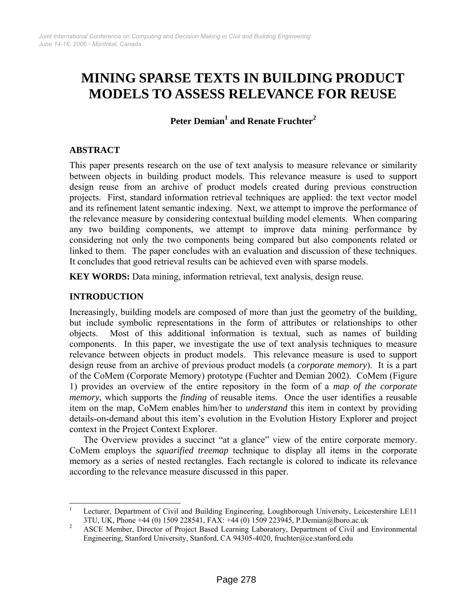# **MINING SPARSE TEXTS IN BUILDING PRODUCT MODELS TO ASSESS RELEVANCE FOR REUSE**

**Peter Demian[1](#page-0-0) and Renate Fruchter[2](#page-0-1)**

# **ABSTRACT**

This paper presents research on the use of text analysis to measure relevance or similarity between objects in building product models. This relevance measure is used to support design reuse from an archive of product models created during previous construction projects. First, standard information retrieval techniques are applied: the text vector model and its refinement latent semantic indexing. Next, we attempt to improve the performance of the relevance measure by considering contextual building model elements. When comparing any two building components, we attempt to improve data mining performance by considering not only the two components being compared but also components related or linked to them. The paper concludes with an evaluation and discussion of these techniques. It concludes that good retrieval results can be achieved even with sparse models.

**KEY WORDS:** Data mining, information retrieval, text analysis, design reuse.

## **INTRODUCTION**

Increasingly, building models are composed of more than just the geometry of the building, but include symbolic representations in the form of attributes or relationships to other objects. Most of this additional information is textual, such as names of building components. In this paper, we investigate the use of text analysis techniques to measure relevance between objects in product models. This relevance measure is used to support design reuse from an archive of previous product models (a *corporate memory*). It is a part of the CoMem (Corporate Memory) prototype (Fuchter and Demian 2002). CoMem ([Figure](#page-1-0)  [1\)](#page-1-0) provides an overview of the entire repository in the form of a *map of the corporate memory*, which supports the *finding* of reusable items. Once the user identifies a reusable item on the map, CoMem enables him/her to *understand* this item in context by providing details-on-demand about this item's evolution in the Evolution History Explorer and project context in the Project Context Explorer.

The Overview provides a succinct "at a glance" view of the entire corporate memory. CoMem employs the *squarified treemap* technique to display all items in the corporate memory as a series of nested rectangles. Each rectangle is colored to indicate its relevance according to the relevance measure discussed in this paper.

<span id="page-0-0"></span> $\overline{a}$ 1 Lecturer, Department of Civil and Building Engineering, Loughborough University, Leicestershire LE11  $3$ TU, UK, Phone +44 (0) 1509 228541, FAX: +44 (0) 1509 223945, P.Demian@lboro.ac.uk<br>2. A SCE Momber, Director of Preject Besed Learning Leberttery, Department of Civil and

<span id="page-0-1"></span>ASCE Member, Director of Project Based Learning Laboratory, Department of Civil and Environmental Engineering, Stanford University, Stanford, CA 94305-4020, fruchter@ce.stanford.edu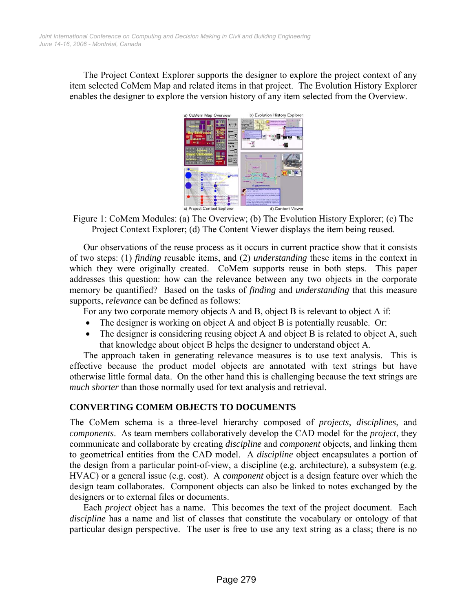<span id="page-1-0"></span>The Project Context Explorer supports the designer to explore the project context of any item selected CoMem Map and related items in that project. The Evolution History Explorer enables the designer to explore the version history of any item selected from the Overview.



Figure 1: CoMem Modules: (a) The Overview; (b) The Evolution History Explorer; (c) The Project Context Explorer; (d) The Content Viewer displays the item being reused.

Our observations of the reuse process as it occurs in current practice show that it consists of two steps: (1) *finding* reusable items, and (2) *understanding* these items in the context in which they were originally created. CoMem supports reuse in both steps. This paper addresses this question: how can the relevance between any two objects in the corporate memory be quantified? Based on the tasks of *finding* and *understanding* that this measure supports, *relevance* can be defined as follows:

For any two corporate memory objects A and B, object B is relevant to object A if:

- The designer is working on object A and object B is potentially reusable. Or:
- The designer is considering reusing object A and object B is related to object A, such that knowledge about object B helps the designer to understand object A.

The approach taken in generating relevance measures is to use text analysis. This is effective because the product model objects are annotated with text strings but have otherwise little formal data. On the other hand this is challenging because the text strings are *much shorter* than those normally used for text analysis and retrieval.

## **CONVERTING COMEM OBJECTS TO DOCUMENTS**

The CoMem schema is a three-level hierarchy composed of *projects*, *disciplines*, and *components*. As team members collaboratively develop the CAD model for the *project*, they communicate and collaborate by creating *discipline* and *component* objects, and linking them to geometrical entities from the CAD model. A *discipline* object encapsulates a portion of the design from a particular point-of-view, a discipline (e.g. architecture), a subsystem (e.g. HVAC) or a general issue (e.g. cost). A *component* object is a design feature over which the design team collaborates. Component objects can also be linked to notes exchanged by the designers or to external files or documents.

Each *project* object has a name. This becomes the text of the project document. Each *discipline* has a name and list of classes that constitute the vocabulary or ontology of that particular design perspective. The user is free to use any text string as a class; there is no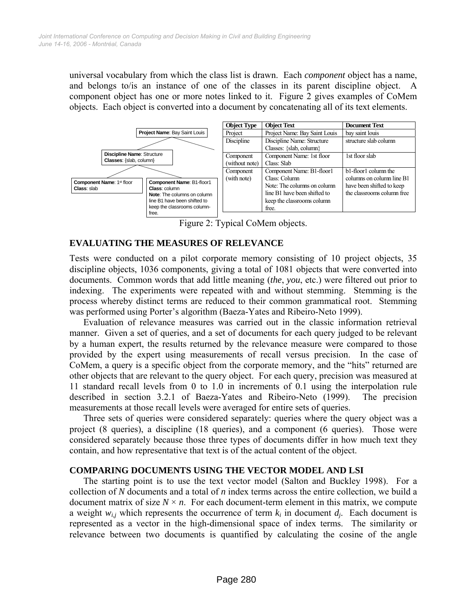universal vocabulary from which the class list is drawn. Each *component* object has a name, and belongs to/is an instance of one of the classes in its parent discipline object. A component object has one or more notes linked to it. [Figure 2](#page-2-0) gives examples of CoMem objects. Each object is converted into a document by concatenating all of its text elements.



<span id="page-2-0"></span>Figure 2: Typical CoMem objects.

### **EVALUATING THE MEASURES OF RELEVANCE**

Tests were conducted on a pilot corporate memory consisting of 10 project objects, 35 discipline objects, 1036 components, giving a total of 1081 objects that were converted into documents. Common words that add little meaning (*the*, *you*, etc.) were filtered out prior to indexing. The experiments were repeated with and without stemming. Stemming is the process whereby distinct terms are reduced to their common grammatical root. Stemming was performed using Porter's algorithm (Baeza-Yates and Ribeiro-Neto 1999).

Evaluation of relevance measures was carried out in the classic information retrieval manner. Given a set of queries, and a set of documents for each query judged to be relevant by a human expert, the results returned by the relevance measure were compared to those provided by the expert using measurements of recall versus precision. In the case of CoMem, a query is a specific object from the corporate memory, and the "hits" returned are other objects that are relevant to the query object. For each query, precision was measured at 11 standard recall levels from 0 to 1.0 in increments of 0.1 using the interpolation rule described in section 3.2.1 of Baeza-Yates and Ribeiro-Neto (1999). The precision measurements at those recall levels were averaged for entire sets of queries.

Three sets of queries were considered separately: queries where the query object was a project (8 queries), a discipline (18 queries), and a component (6 queries). Those were considered separately because those three types of documents differ in how much text they contain, and how representative that text is of the actual content of the object.

#### **COMPARING DOCUMENTS USING THE VECTOR MODEL AND LSI**

The starting point is to use the text vector model (Salton and Buckley 1998). For a collection of *N* documents and a total of *n* index terms across the entire collection, we build a document matrix of size  $N \times n$ . For each document-term element in this matrix, we compute a weight  $w_{i,j}$  which represents the occurrence of term  $k_i$  in document  $d_j$ . Each document is represented as a vector in the high-dimensional space of index terms. The similarity or relevance between two documents is quantified by calculating the cosine of the angle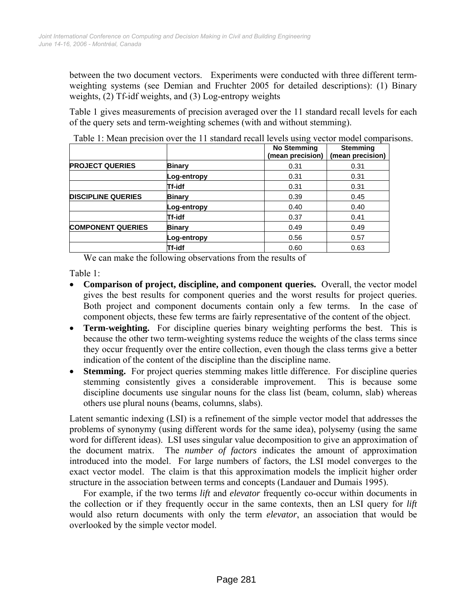between the two document vectors. Experiments were conducted with three different termweighting systems (see Demian and Fruchter 2005 for detailed descriptions): (1) Binary weights, (2) Tf-idf weights, and (3) Log-entropy weights

[Table 1](#page-3-0) gives measurements of precision averaged over the 11 standard recall levels for each of the query sets and term-weighting schemes (with and without stemming).

|                           |               | <b>No Stemming</b><br>(mean precision) | <b>Stemming</b><br>(mean precision) |
|---------------------------|---------------|----------------------------------------|-------------------------------------|
| <b>PROJECT QUERIES</b>    | <b>Binary</b> | 0.31                                   | 0.31                                |
|                           | Log-entropy   | 0.31                                   | 0.31                                |
|                           | Tf-idf        | 0.31                                   | 0.31                                |
| <b>DISCIPLINE QUERIES</b> | Binary        | 0.39                                   | 0.45                                |
|                           | Log-entropy   | 0.40                                   | 0.40                                |
|                           | Tf-idf        | 0.37                                   | 0.41                                |
| <b>COMPONENT QUERIES</b>  | <b>Binary</b> | 0.49                                   | 0.49                                |
|                           | Log-entropy   | 0.56                                   | 0.57                                |
|                           | Tf-idf        | 0.60                                   | 0.63                                |

<span id="page-3-0"></span>Table 1: Mean precision over the 11 standard recall levels using vector model comparisons.

We can make the following observations from the results of

[Table 1](#page-3-0):

- **Comparison of project, discipline, and component queries.** Overall, the vector model gives the best results for component queries and the worst results for project queries. Both project and component documents contain only a few terms. In the case of component objects, these few terms are fairly representative of the content of the object.
- **Term-weighting.** For discipline queries binary weighting performs the best. This is because the other two term-weighting systems reduce the weights of the class terms since they occur frequently over the entire collection, even though the class terms give a better indication of the content of the discipline than the discipline name.
- **Stemming.** For project queries stemming makes little difference. For discipline queries stemming consistently gives a considerable improvement. This is because some discipline documents use singular nouns for the class list (beam, column, slab) whereas others use plural nouns (beams, columns, slabs).

Latent semantic indexing (LSI) is a refinement of the simple vector model that addresses the problems of synonymy (using different words for the same idea), polysemy (using the same word for different ideas). LSI uses singular value decomposition to give an approximation of the document matrix. The *number of factors* indicates the amount of approximation introduced into the model. For large numbers of factors, the LSI model converges to the exact vector model. The claim is that this approximation models the implicit higher order structure in the association between terms and concepts (Landauer and Dumais 1995).

For example, if the two terms *lift* and *elevator* frequently co-occur within documents in the collection or if they frequently occur in the same contexts, then an LSI query for *lift*  would also return documents with only the term *elevator*, an association that would be overlooked by the simple vector model.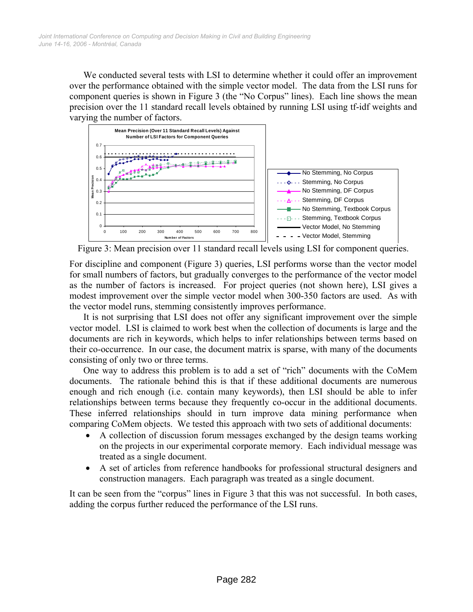We conducted several tests with LSI to determine whether it could offer an improvement over the performance obtained with the simple vector model. The data from the LSI runs for component queries is shown in [Figure 3](#page-4-0) (the "No Corpus" lines). Each line shows the mean precision over the 11 standard recall levels obtained by running LSI using tf-idf weights and varying the number of factors.

<span id="page-4-0"></span>

Figure 3: Mean precision over 11 standard recall levels using LSI for component queries.

For discipline and component ([Figure 3\)](#page-4-0) queries, LSI performs worse than the vector model for small numbers of factors, but gradually converges to the performance of the vector model as the number of factors is increased. For project queries (not shown here), LSI gives a modest improvement over the simple vector model when 300-350 factors are used. As with the vector model runs, stemming consistently improves performance.

It is not surprising that LSI does not offer any significant improvement over the simple vector model. LSI is claimed to work best when the collection of documents is large and the documents are rich in keywords, which helps to infer relationships between terms based on their co-occurrence. In our case, the document matrix is sparse, with many of the documents consisting of only two or three terms.

One way to address this problem is to add a set of "rich" documents with the CoMem documents. The rationale behind this is that if these additional documents are numerous enough and rich enough (i.e. contain many keywords), then LSI should be able to infer relationships between terms because they frequently co-occur in the additional documents. These inferred relationships should in turn improve data mining performance when comparing CoMem objects. We tested this approach with two sets of additional documents:

- A collection of discussion forum messages exchanged by the design teams working on the projects in our experimental corporate memory. Each individual message was treated as a single document.
- A set of articles from reference handbooks for professional structural designers and construction managers. Each paragraph was treated as a single document.

It can be seen from the "corpus" lines in [Figure 3](#page-4-0) that this was not successful. In both cases, adding the corpus further reduced the performance of the LSI runs.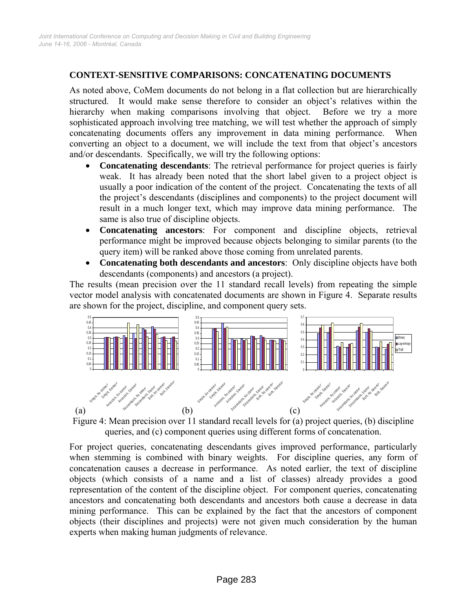# **CONTEXT-SENSITIVE COMPARISONS: CONCATENATING DOCUMENTS**

As noted above, CoMem documents do not belong in a flat collection but are hierarchically structured. It would make sense therefore to consider an object's relatives within the hierarchy when making comparisons involving that object. Before we try a more sophisticated approach involving tree matching, we will test whether the approach of simply concatenating documents offers any improvement in data mining performance. When converting an object to a document, we will include the text from that object's ancestors and/or descendants. Specifically, we will try the following options:

- **Concatenating descendants**: The retrieval performance for project queries is fairly weak. It has already been noted that the short label given to a project object is usually a poor indication of the content of the project. Concatenating the texts of all the project's descendants (disciplines and components) to the project document will result in a much longer text, which may improve data mining performance. The same is also true of discipline objects.
- **Concatenating ancestors**: For component and discipline objects, retrieval performance might be improved because objects belonging to similar parents (to the query item) will be ranked above those coming from unrelated parents.
- **Concatenating both descendants and ancestors**: Only discipline objects have both descendants (components) and ancestors (a project).

The results (mean precision over the 11 standard recall levels) from repeating the simple vector model analysis with concatenated documents are shown in [Figure 4.](#page-5-0) Separate results are shown for the project, discipline, and component query sets.

<span id="page-5-0"></span>

Figure 4: Mean precision over 11 standard recall levels for (a) project queries, (b) discipline queries, and (c) component queries using different forms of concatenation.

For project queries, concatenating descendants gives improved performance, particularly when stemming is combined with binary weights. For discipline queries, any form of concatenation causes a decrease in performance. As noted earlier, the text of discipline objects (which consists of a name and a list of classes) already provides a good representation of the content of the discipline object. For component queries, concatenating ancestors and concatenating both descendants and ancestors both cause a decrease in data mining performance. This can be explained by the fact that the ancestors of component objects (their disciplines and projects) were not given much consideration by the human experts when making human judgments of relevance.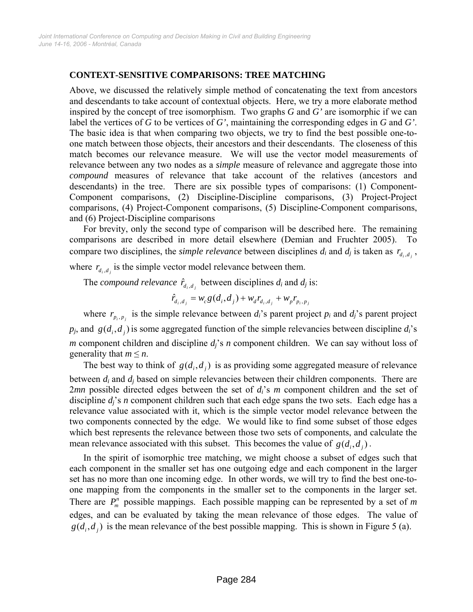## **CONTEXT-SENSITIVE COMPARISONS: TREE MATCHING**

Above, we discussed the relatively simple method of concatenating the text from ancestors and descendants to take account of contextual objects. Here, we try a more elaborate method inspired by the concept of tree isomorphism. Two graphs *G* and *G'* are isomorphic if we can label the vertices of *G* to be vertices of *G'*, maintaining the corresponding edges in *G* and *G'*. The basic idea is that when comparing two objects, we try to find the best possible one-toone match between those objects, their ancestors and their descendants. The closeness of this match becomes our relevance measure. We will use the vector model measurements of relevance between any two nodes as a *simple* measure of relevance and aggregate those into *compound* measures of relevance that take account of the relatives (ancestors and descendants) in the tree. There are six possible types of comparisons: (1) Component-Component comparisons, (2) Discipline-Discipline comparisons, (3) Project-Project comparisons, (4) Project-Component comparisons, (5) Discipline-Component comparisons, and (6) Project-Discipline comparisons

For brevity, only the second type of comparison will be described here. The remaining comparisons are described in more detail elsewhere (Demian and Fruchter 2005). To compare two disciplines, the *simple relevance* between disciplines  $d_i$  and  $d_j$  is taken as  $r_{d_i, d_j}$ ,

where  $r_{d_i, d_j}$  is the simple vector model relevance between them.

The *compound relevance*  $\hat{r}_{d_i, d_j}$  between disciplines  $d_i$  and  $d_j$  is:

$$
\hat{r}_{d_i,d_j} = w_c g(d_i,d_j) + w_d r_{d_i,d_j} + w_p r_{p_i,p_j}
$$

where  $r_{p_i, p_j}$  is the simple relevance between  $d_i$ 's parent project  $p_i$  and  $d_j$ 's parent project  $p_j$ , and  $g(d_i, d_j)$  is some aggregated function of the simple relevancies between discipline  $d_i$ 's *m* component children and discipline  $d_j$ 's *n* component children. We can say without loss of generality that  $m \leq n$ .

The best way to think of  $g(d_i, d_j)$  is as providing some aggregated measure of relevance between *d <sup>i</sup>* and *dj* based on simple relevancies between their children components. There are 2*mn* possible directed edges between the set of *di*'s *m* component children and the set of discipline  $d_i$ 's *n* component children such that each edge spans the two sets. Each edge has a relevance value associated with it, which is the simple vector model relevance between the two components connected by the edge. We would like to find some subset of those edges which best represents the relevance between those two sets of components, and calculate the mean relevance associated with this subset. This becomes the value of  $g(d_i, d_i)$ .

In the spirit of isomorphic tree matching, we might choose a subset of edges such that each component in the smaller set has one outgoing edge and each component in the larger set has no more than one incoming edge. In other words, we will try to find the best one-toone mapping from the components in the smaller set to the components in the larger set. There are  $P_m^n$  possible mappings. Each possible mapping can be represented by a set of m edges, and can be evaluated by taking the mean relevance of those edges. The value of  $g(d_i, d_j)$  is the mean relevance of the best possible mapping. This is shown in [Figure 5](#page-7-0) (a).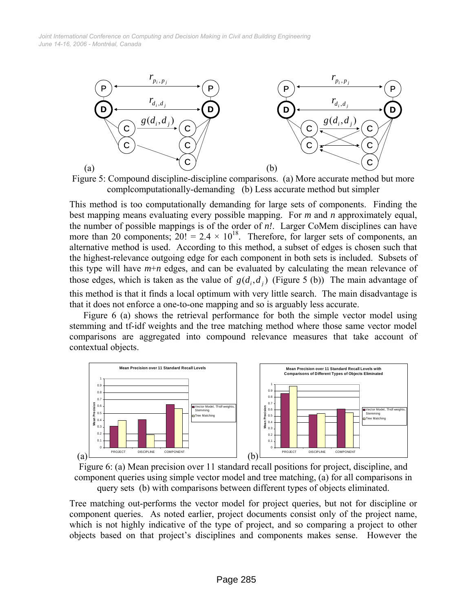*June 14-16, 2006 - Montréal, Canada Joint International Conference on Computing and Decision Making in Civil and Building Engineering*

<span id="page-7-0"></span>

Figure 5: Compound discipline-discipline comparisons. (a) More accurate method but more complcomputationally-demanding (b) Less accurate method but simpler

This method is too computationally demanding for large sets of components. Finding the best mapping means evaluating every possible mapping. For *m* and *n* approximately equal, the number of possible mappings is of the order of *n!*. Larger CoMem disciplines can have more than 20 components;  $20! = 2.4 \times 10^{18}$ . Therefore, for larger sets of components, an alternative method is used. According to this method, a subset of edges is chosen such that the highest-relevance outgoing edge for each component in both sets is included. Subsets of this type will have  $m+n$  edges, and can be evaluated by calculating the mean relevance of those edges, which is taken as the value of  $g(d_i, d_j)$  ([Figure 5](#page-7-0) (b)) The main advantage of this method is that it finds a local optimum with very little search. The main disadvantage is that it does not enforce a one-to-one mapping and so is arguably less accurate.

[Figure 6](#page-7-1) (a) shows the retrieval performance for both the simple vector model using stemming and tf-idf weights and the tree matching method where those same vector model comparisons are aggregated into compound relevance measures that take account of contextual objects.

<span id="page-7-1"></span>

Figure 6: (a) Mean precision over 11 standard recall positions for project, discipline, and component queries using simple vector model and tree matching, (a) for all comparisons in query sets (b) with comparisons between different types of objects eliminated.

Tree matching out-performs the vector model for project queries, but not for discipline or component queries. As noted earlier, project documents consist only of the project name, which is not highly indicative of the type of project, and so comparing a project to other objects based on that project's disciplines and components makes sense. However the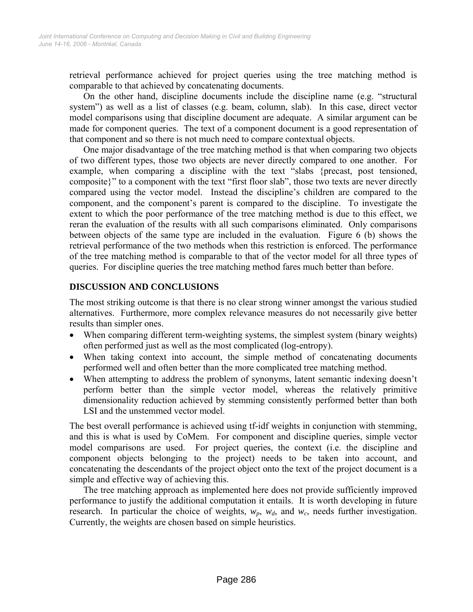retrieval performance achieved for project queries using the tree matching method is comparable to that achieved by concatenating documents.

On the other hand, discipline documents include the discipline name (e.g. "structural system") as well as a list of classes (e.g. beam, column, slab). In this case, direct vector model comparisons using that discipline document are adequate. A similar argument can be made for component queries. The text of a component document is a good representation of that component and so there is not much need to compare contextual objects.

One major disadvantage of the tree matching method is that when comparing two objects of two different types, those two objects are never directly compared to one another. For example, when comparing a discipline with the text "slabs {precast, post tensioned, composite}" to a component with the text "first floor slab", those two texts are never directly compared using the vector model. Instead the discipline's children are compared to the component, and the component's parent is compared to the discipline. To investigate the extent to which the poor performance of the tree matching method is due to this effect, we reran the evaluation of the results with all such comparisons eliminated. Only comparisons between objects of the same type are included in the evaluation. [Figure 6](#page-7-1) (b) shows the retrieval performance of the two methods when this restriction is enforced. The performance of the tree matching method is comparable to that of the vector model for all three types of queries. For discipline queries the tree matching method fares much better than before.

## **DISCUSSION AND CONCLUSIONS**

The most striking outcome is that there is no clear strong winner amongst the various studied alternatives. Furthermore, more complex relevance measures do not necessarily give better results than simpler ones.

- When comparing different term-weighting systems, the simplest system (binary weights) often performed just as well as the most complicated (log-entropy).
- When taking context into account, the simple method of concatenating documents performed well and often better than the more complicated tree matching method.
- When attempting to address the problem of synonyms, latent semantic indexing doesn't perform better than the simple vector model, whereas the relatively primitive dimensionality reduction achieved by stemming consistently performed better than both LSI and the unstemmed vector model

The best overall performance is achieved using tf-idf weights in conjunction with stemming, and this is what is used by CoMem. For component and discipline queries, simple vector model comparisons are used. For project queries, the context (i.e. the discipline and component objects belonging to the project) needs to be taken into account, and concatenating the descendants of the project object onto the text of the project document is a simple and effective way of achieving this.

The tree matching approach as implemented here does not provide sufficiently improved performance to justify the additional computation it entails. It is worth developing in future research. In particular the choice of weights,  $w_p$ ,  $w_d$ , and  $w_c$ , needs further investigation. Currently, the weights are chosen based on simple heuristics.